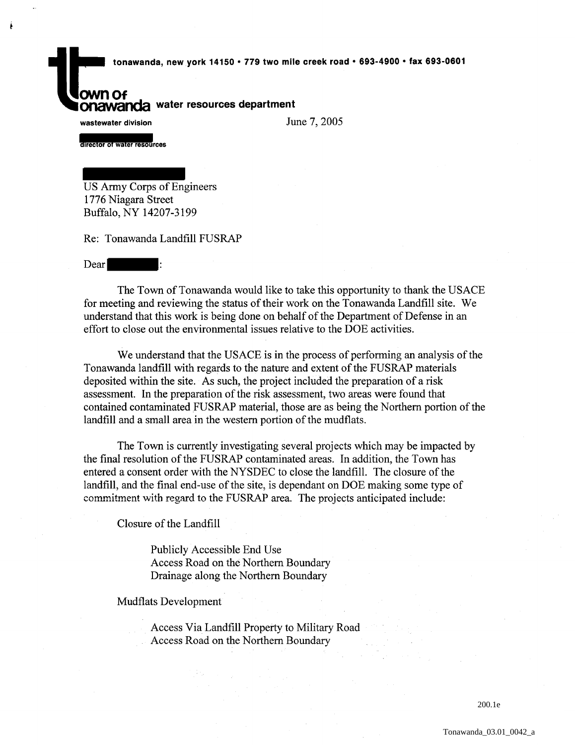tonawanda, new york 14150 • 779 two mile creek road • 693-4900 • fax 693-0601

## **own Of ONTION** water resources department

wastewater division

Ł

June 7, 2005

rector of water resources

US Army Corps of Engineers 1776 Niagara Street Buffalo, NY 14207-3199

Re: Tonawanda Landfill FUSRAP

Dear

The Town of Tonawanda would like to take this opportunity to thank the USACE for meeting and reviewing the status of their work on the Tonawanda Landfill site. We understand that this work is being done on behalf of the Department of Defense in an effort to close out the environmental issues relative to the DOE activities.

We understand that the USACE is in the process of performing an analysis of the Tonawanda landfill with regards to the nature and extent of the FUSRAP materials deposited within the site. As such, the project included the preparation of a risk assessment. In the preparation of the risk assessment, two areas were found that contained contaminated FUSRAP material, those are as being the Northern portion of the landfill and a small area in the western portion of the mudflats.

The Town is currently investigating several projects which may be impacted by the final resolution of the FUSRAP contaminated areas. In addition, the Town has entered a consent order with the NYSDEC to close the landfill. The closure of the landfill, and the final end-use of the site, is dependant on DOE making some type of comrnitment with regard to the FUSRAP area. The projects anticipated include:

Closure of the Landfill

Publicly Accessible End Use Access Road on the Northern Boundary Drainage along the Northern Boundary

Mudflats Development

Access Via Landfill Property to Military Road Access Road on the Northern Boundary

200.1e